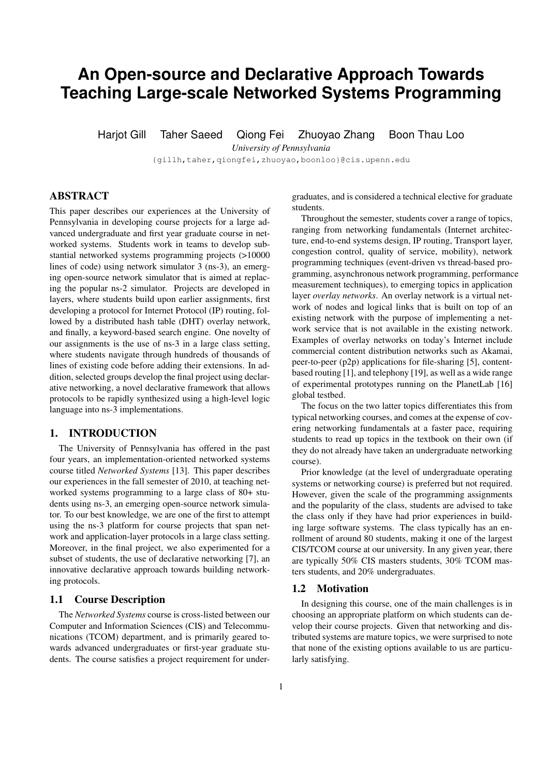# **An Open-source and Declarative Approach Towards Teaching Large-scale Networked Systems Programming**

Harjot Gill Taher Saeed Qiong Fei Zhuoyao Zhang Boon Thau Loo

*University of Pennsylvania*

{gillh,taher,qiongfei,zhuoyao,boonloo}@cis.upenn.edu

# ABSTRACT

This paper describes our experiences at the University of Pennsylvania in developing course projects for a large advanced undergraduate and first year graduate course in networked systems. Students work in teams to develop substantial networked systems programming projects (>10000 lines of code) using network simulator 3 (ns-3), an emerging open-source network simulator that is aimed at replacing the popular ns-2 simulator. Projects are developed in layers, where students build upon earlier assignments, first developing a protocol for Internet Protocol (IP) routing, followed by a distributed hash table (DHT) overlay network, and finally, a keyword-based search engine. One novelty of our assignments is the use of ns-3 in a large class setting, where students navigate through hundreds of thousands of lines of existing code before adding their extensions. In addition, selected groups develop the final project using declarative networking, a novel declarative framework that allows protocols to be rapidly synthesized using a high-level logic language into ns-3 implementations.

# 1. INTRODUCTION

The University of Pennsylvania has offered in the past four years, an implementation-oriented networked systems course titled *Networked Systems* [13]. This paper describes our experiences in the fall semester of 2010, at teaching networked systems programming to a large class of 80+ students using ns-3, an emerging open-source network simulator. To our best knowledge, we are one of the first to attempt using the ns-3 platform for course projects that span network and application-layer protocols in a large class setting. Moreover, in the final project, we also experimented for a subset of students, the use of declarative networking [7], an innovative declarative approach towards building networking protocols.

## 1.1 Course Description

The *Networked Systems* course is cross-listed between our Computer and Information Sciences (CIS) and Telecommunications (TCOM) department, and is primarily geared towards advanced undergraduates or first-year graduate students. The course satisfies a project requirement for undergraduates, and is considered a technical elective for graduate students.

Throughout the semester, students cover a range of topics, ranging from networking fundamentals (Internet architecture, end-to-end systems design, IP routing, Transport layer, congestion control, quality of service, mobility), network programming techniques (event-driven vs thread-based programming, asynchronous network programming, performance measurement techniques), to emerging topics in application layer *overlay networks*. An overlay network is a virtual network of nodes and logical links that is built on top of an existing network with the purpose of implementing a network service that is not available in the existing network. Examples of overlay networks on today's Internet include commercial content distribution networks such as Akamai, peer-to-peer (p2p) applications for file-sharing [5], contentbased routing [1], and telephony [19], as well as a wide range of experimental prototypes running on the PlanetLab [16] global testbed.

The focus on the two latter topics differentiates this from typical networking courses, and comes at the expense of covering networking fundamentals at a faster pace, requiring students to read up topics in the textbook on their own (if they do not already have taken an undergraduate networking course).

Prior knowledge (at the level of undergraduate operating systems or networking course) is preferred but not required. However, given the scale of the programming assignments and the popularity of the class, students are advised to take the class only if they have had prior experiences in building large software systems. The class typically has an enrollment of around 80 students, making it one of the largest CIS/TCOM course at our university. In any given year, there are typically 50% CIS masters students, 30% TCOM masters students, and 20% undergraduates.

#### 1.2 Motivation

In designing this course, one of the main challenges is in choosing an appropriate platform on which students can develop their course projects. Given that networking and distributed systems are mature topics, we were surprised to note that none of the existing options available to us are particularly satisfying.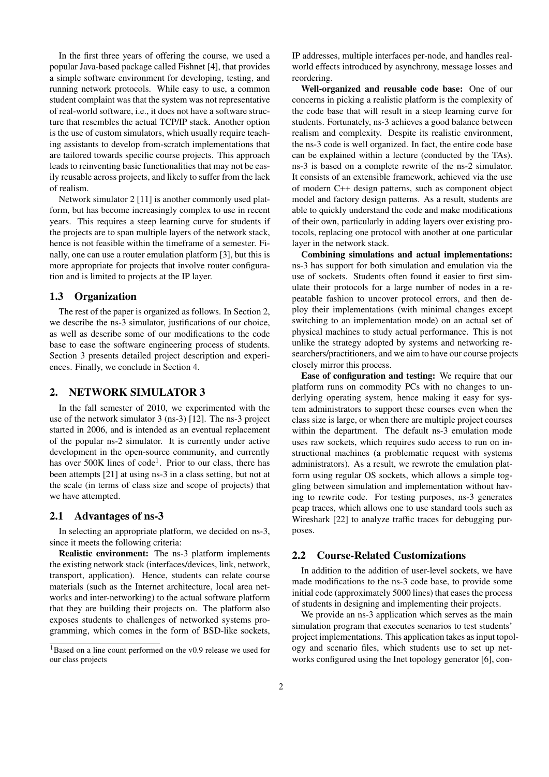In the first three years of offering the course, we used a popular Java-based package called Fishnet [4], that provides a simple software environment for developing, testing, and running network protocols. While easy to use, a common student complaint was that the system was not representative of real-world software, i.e., it does not have a software structure that resembles the actual TCP/IP stack. Another option is the use of custom simulators, which usually require teaching assistants to develop from-scratch implementations that are tailored towards specific course projects. This approach leads to reinventing basic functionalities that may not be easily reusable across projects, and likely to suffer from the lack of realism.

Network simulator 2 [11] is another commonly used platform, but has become increasingly complex to use in recent years. This requires a steep learning curve for students if the projects are to span multiple layers of the network stack, hence is not feasible within the timeframe of a semester. Finally, one can use a router emulation platform [3], but this is more appropriate for projects that involve router configuration and is limited to projects at the IP layer.

# 1.3 Organization

The rest of the paper is organized as follows. In Section 2, we describe the ns-3 simulator, justifications of our choice, as well as describe some of our modifications to the code base to ease the software engineering process of students. Section 3 presents detailed project description and experiences. Finally, we conclude in Section 4.

#### 2. NETWORK SIMULATOR 3

In the fall semester of 2010, we experimented with the use of the network simulator 3 (ns-3) [12]. The ns-3 project started in 2006, and is intended as an eventual replacement of the popular ns-2 simulator. It is currently under active development in the open-source community, and currently has over 500K lines of code<sup>1</sup>. Prior to our class, there has been attempts [21] at using ns-3 in a class setting, but not at the scale (in terms of class size and scope of projects) that we have attempted.

### 2.1 Advantages of ns-3

In selecting an appropriate platform, we decided on ns-3, since it meets the following criteria:

Realistic environment: The ns-3 platform implements the existing network stack (interfaces/devices, link, network, transport, application). Hence, students can relate course materials (such as the Internet architecture, local area networks and inter-networking) to the actual software platform that they are building their projects on. The platform also exposes students to challenges of networked systems programming, which comes in the form of BSD-like sockets,

IP addresses, multiple interfaces per-node, and handles realworld effects introduced by asynchrony, message losses and reordering.

Well-organized and reusable code base: One of our concerns in picking a realistic platform is the complexity of the code base that will result in a steep learning curve for students. Fortunately, ns-3 achieves a good balance between realism and complexity. Despite its realistic environment, the ns-3 code is well organized. In fact, the entire code base can be explained within a lecture (conducted by the TAs). ns-3 is based on a complete rewrite of the ns-2 simulator. It consists of an extensible framework, achieved via the use of modern C++ design patterns, such as component object model and factory design patterns. As a result, students are able to quickly understand the code and make modifications of their own, particularly in adding layers over existing protocols, replacing one protocol with another at one particular layer in the network stack.

Combining simulations and actual implementations: ns-3 has support for both simulation and emulation via the use of sockets. Students often found it easier to first simulate their protocols for a large number of nodes in a repeatable fashion to uncover protocol errors, and then deploy their implementations (with minimal changes except switching to an implementation mode) on an actual set of physical machines to study actual performance. This is not unlike the strategy adopted by systems and networking researchers/practitioners, and we aim to have our course projects closely mirror this process.

Ease of configuration and testing: We require that our platform runs on commodity PCs with no changes to underlying operating system, hence making it easy for system administrators to support these courses even when the class size is large, or when there are multiple project courses within the department. The default ns-3 emulation mode uses raw sockets, which requires sudo access to run on instructional machines (a problematic request with systems administrators). As a result, we rewrote the emulation platform using regular OS sockets, which allows a simple toggling between simulation and implementation without having to rewrite code. For testing purposes, ns-3 generates pcap traces, which allows one to use standard tools such as Wireshark [22] to analyze traffic traces for debugging purposes.

### 2.2 Course-Related Customizations

In addition to the addition of user-level sockets, we have made modifications to the ns-3 code base, to provide some initial code (approximately 5000 lines) that eases the process of students in designing and implementing their projects.

We provide an ns-3 application which serves as the main simulation program that executes scenarios to test students' project implementations. This application takes as input topology and scenario files, which students use to set up networks configured using the Inet topology generator [6], con-

<sup>&</sup>lt;sup>1</sup>Based on a line count performed on the v0.9 release we used for our class projects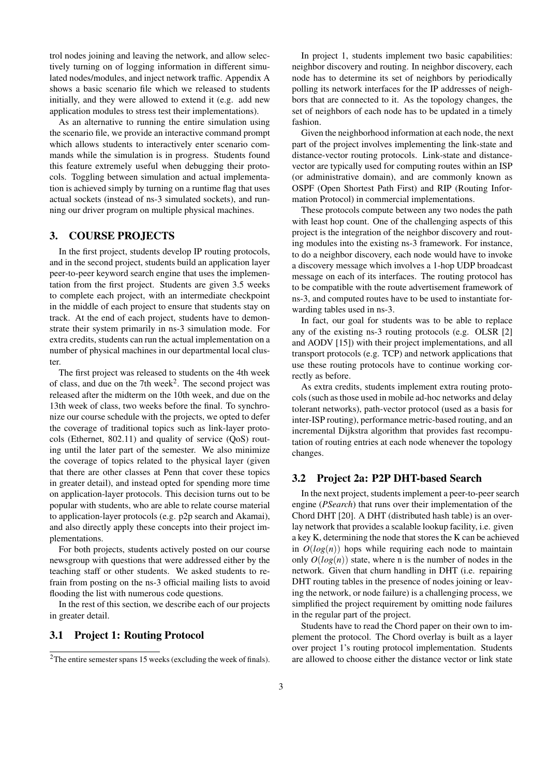trol nodes joining and leaving the network, and allow selectively turning on of logging information in different simulated nodes/modules, and inject network traffic. Appendix A shows a basic scenario file which we released to students initially, and they were allowed to extend it (e.g. add new application modules to stress test their implementations).

As an alternative to running the entire simulation using the scenario file, we provide an interactive command prompt which allows students to interactively enter scenario commands while the simulation is in progress. Students found this feature extremely useful when debugging their protocols. Toggling between simulation and actual implementation is achieved simply by turning on a runtime flag that uses actual sockets (instead of ns-3 simulated sockets), and running our driver program on multiple physical machines.

# 3. COURSE PROJECTS

In the first project, students develop IP routing protocols, and in the second project, students build an application layer peer-to-peer keyword search engine that uses the implementation from the first project. Students are given 3.5 weeks to complete each project, with an intermediate checkpoint in the middle of each project to ensure that students stay on track. At the end of each project, students have to demonstrate their system primarily in ns-3 simulation mode. For extra credits, students can run the actual implementation on a number of physical machines in our departmental local cluster.

The first project was released to students on the 4th week of class, and due on the 7th week<sup>2</sup>. The second project was released after the midterm on the 10th week, and due on the 13th week of class, two weeks before the final. To synchronize our course schedule with the projects, we opted to defer the coverage of traditional topics such as link-layer protocols (Ethernet, 802.11) and quality of service (QoS) routing until the later part of the semester. We also minimize the coverage of topics related to the physical layer (given that there are other classes at Penn that cover these topics in greater detail), and instead opted for spending more time on application-layer protocols. This decision turns out to be popular with students, who are able to relate course material to application-layer protocols (e.g. p2p search and Akamai), and also directly apply these concepts into their project implementations.

For both projects, students actively posted on our course newsgroup with questions that were addressed either by the teaching staff or other students. We asked students to refrain from posting on the ns-3 official mailing lists to avoid flooding the list with numerous code questions.

In the rest of this section, we describe each of our projects in greater detail.

# 3.1 Project 1: Routing Protocol

In project 1, students implement two basic capabilities: neighbor discovery and routing. In neighbor discovery, each node has to determine its set of neighbors by periodically polling its network interfaces for the IP addresses of neighbors that are connected to it. As the topology changes, the set of neighbors of each node has to be updated in a timely fashion.

Given the neighborhood information at each node, the next part of the project involves implementing the link-state and distance-vector routing protocols. Link-state and distancevector are typically used for computing routes within an ISP (or administrative domain), and are commonly known as OSPF (Open Shortest Path First) and RIP (Routing Information Protocol) in commercial implementations.

These protocols compute between any two nodes the path with least hop count. One of the challenging aspects of this project is the integration of the neighbor discovery and routing modules into the existing ns-3 framework. For instance, to do a neighbor discovery, each node would have to invoke a discovery message which involves a 1-hop UDP broadcast message on each of its interfaces. The routing protocol has to be compatible with the route advertisement framework of ns-3, and computed routes have to be used to instantiate forwarding tables used in ns-3.

In fact, our goal for students was to be able to replace any of the existing ns-3 routing protocols (e.g. OLSR [2] and AODV [15]) with their project implementations, and all transport protocols (e.g. TCP) and network applications that use these routing protocols have to continue working correctly as before.

As extra credits, students implement extra routing protocols (such as those used in mobile ad-hoc networks and delay tolerant networks), path-vector protocol (used as a basis for inter-ISP routing), performance metric-based routing, and an incremental Dijkstra algorithm that provides fast recomputation of routing entries at each node whenever the topology changes.

#### 3.2 Project 2a: P2P DHT-based Search

In the next project, students implement a peer-to-peer search engine (*PSearch*) that runs over their implementation of the Chord DHT [20]. A DHT (distributed hash table) is an overlay network that provides a scalable lookup facility, i.e. given a key K, determining the node that stores the K can be achieved in  $O(log(n))$  hops while requiring each node to maintain only  $O(log(n))$  state, where n is the number of nodes in the network. Given that churn handling in DHT (i.e. repairing DHT routing tables in the presence of nodes joining or leaving the network, or node failure) is a challenging process, we simplified the project requirement by omitting node failures in the regular part of the project.

Students have to read the Chord paper on their own to implement the protocol. The Chord overlay is built as a layer over project 1's routing protocol implementation. Students are allowed to choose either the distance vector or link state

<sup>&</sup>lt;sup>2</sup>The entire semester spans 15 weeks (excluding the week of finals).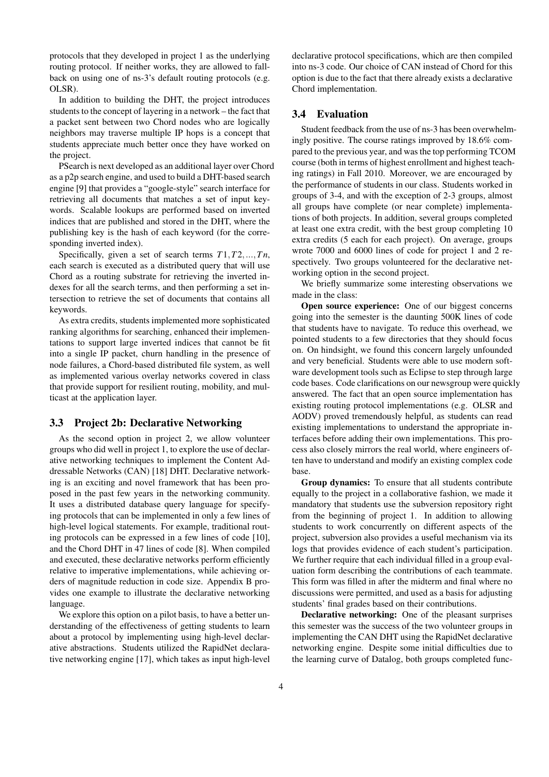protocols that they developed in project 1 as the underlying routing protocol. If neither works, they are allowed to fallback on using one of ns-3's default routing protocols (e.g. OLSR).

In addition to building the DHT, the project introduces students to the concept of layering in a network – the fact that a packet sent between two Chord nodes who are logically neighbors may traverse multiple IP hops is a concept that students appreciate much better once they have worked on the project.

PSearch is next developed as an additional layer over Chord as a p2p search engine, and used to build a DHT-based search engine [9] that provides a "google-style" search interface for retrieving all documents that matches a set of input keywords. Scalable lookups are performed based on inverted indices that are published and stored in the DHT, where the publishing key is the hash of each keyword (for the corresponding inverted index).

Specifically, given a set of search terms *T*1,*T*2,...,*T n*, each search is executed as a distributed query that will use Chord as a routing substrate for retrieving the inverted indexes for all the search terms, and then performing a set intersection to retrieve the set of documents that contains all keywords.

As extra credits, students implemented more sophisticated ranking algorithms for searching, enhanced their implementations to support large inverted indices that cannot be fit into a single IP packet, churn handling in the presence of node failures, a Chord-based distributed file system, as well as implemented various overlay networks covered in class that provide support for resilient routing, mobility, and multicast at the application layer.

# 3.3 Project 2b: Declarative Networking

As the second option in project 2, we allow volunteer groups who did well in project 1, to explore the use of declarative networking techniques to implement the Content Addressable Networks (CAN) [18] DHT. Declarative networking is an exciting and novel framework that has been proposed in the past few years in the networking community. It uses a distributed database query language for specifying protocols that can be implemented in only a few lines of high-level logical statements. For example, traditional routing protocols can be expressed in a few lines of code [10], and the Chord DHT in 47 lines of code [8]. When compiled and executed, these declarative networks perform efficiently relative to imperative implementations, while achieving orders of magnitude reduction in code size. Appendix B provides one example to illustrate the declarative networking language.

We explore this option on a pilot basis, to have a better understanding of the effectiveness of getting students to learn about a protocol by implementing using high-level declarative abstractions. Students utilized the RapidNet declarative networking engine [17], which takes as input high-level declarative protocol specifications, which are then compiled into ns-3 code. Our choice of CAN instead of Chord for this option is due to the fact that there already exists a declarative Chord implementation.

### 3.4 Evaluation

Student feedback from the use of ns-3 has been overwhelmingly positive. The course ratings improved by 18.6% compared to the previous year, and was the top performing TCOM course (both in terms of highest enrollment and highest teaching ratings) in Fall 2010. Moreover, we are encouraged by the performance of students in our class. Students worked in groups of 3-4, and with the exception of 2-3 groups, almost all groups have complete (or near complete) implementations of both projects. In addition, several groups completed at least one extra credit, with the best group completing 10 extra credits (5 each for each project). On average, groups wrote 7000 and 6000 lines of code for project 1 and 2 respectively. Two groups volunteered for the declarative networking option in the second project.

We briefly summarize some interesting observations we made in the class:

Open source experience: One of our biggest concerns going into the semester is the daunting 500K lines of code that students have to navigate. To reduce this overhead, we pointed students to a few directories that they should focus on. On hindsight, we found this concern largely unfounded and very beneficial. Students were able to use modern software development tools such as Eclipse to step through large code bases. Code clarifications on our newsgroup were quickly answered. The fact that an open source implementation has existing routing protocol implementations (e.g. OLSR and AODV) proved tremendously helpful, as students can read existing implementations to understand the appropriate interfaces before adding their own implementations. This process also closely mirrors the real world, where engineers often have to understand and modify an existing complex code base.

Group dynamics: To ensure that all students contribute equally to the project in a collaborative fashion, we made it mandatory that students use the subversion repository right from the beginning of project 1. In addition to allowing students to work concurrently on different aspects of the project, subversion also provides a useful mechanism via its logs that provides evidence of each student's participation. We further require that each individual filled in a group evaluation form describing the contributions of each teammate. This form was filled in after the midterm and final where no discussions were permitted, and used as a basis for adjusting students' final grades based on their contributions.

Declarative networking: One of the pleasant surprises this semester was the success of the two volunteer groups in implementing the CAN DHT using the RapidNet declarative networking engine. Despite some initial difficulties due to the learning curve of Datalog, both groups completed func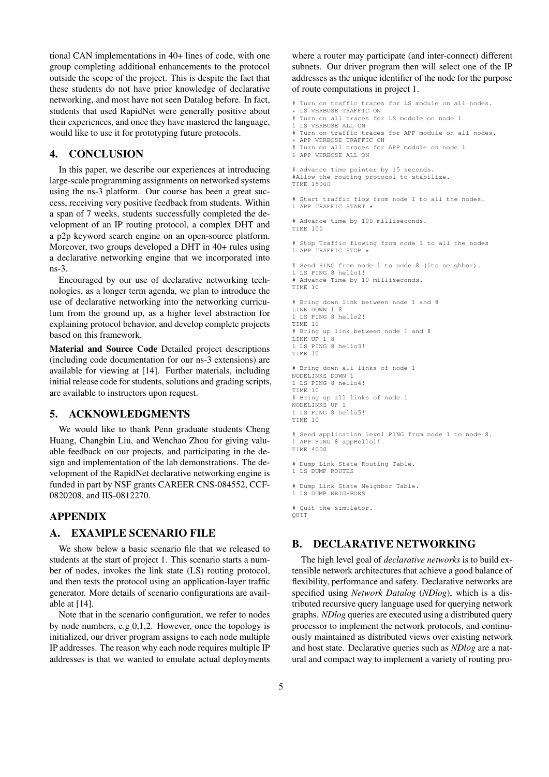tional CAN implementations in 40+ lines of code, with one group completing additional enhancements to the protocol outside the scope of the project. This is despite the fact that these students do not have prior knowledge of declarative networking, and most have not seen Datalog before. In fact, students that used RapidNet were generally positive about their experiences, and once they have mastered the language, would like to use it for prototyping future protocols.

### 4. CONCLUSION

In this paper, we describe our experiences at introducing large-scale programming assignments on networked systems using the ns-3 platform. Our course has been a great success, receiving very positive feedback from students. Within a span of 7 weeks, students successfully completed the development of an IP routing protocol, a complex DHT and a p2p keyword search engine on an open-source platform. Moreover, two groups developed a DHT in 40+ rules using a declarative networking engine that we incorporated into ns-3.

Encouraged by our use of declarative networking technologies, as a longer term agenda, we plan to introduce the use of declarative networking into the networking curriculum from the ground up, as a higher level abstraction for explaining protocol behavior, and develop complete projects based on this framework.

Material and Source Code Detailed project descriptions (including code documentation for our ns-3 extensions) are available for viewing at [14]. Further materials, including initial release code for students, solutions and grading scripts, are available to instructors upon request.

#### 5. ACKNOWLEDGMENTS

We would like to thank Penn graduate students Cheng Huang, Changbin Liu, and Wenchao Zhou for giving valuable feedback on our projects, and participating in the design and implementation of the lab demonstrations. The development of the RapidNet declarative networking engine is funded in part by NSF grants CAREER CNS-084552, CCF-0820208, and IIS-0812270.

#### APPENDIX

## A. EXAMPLE SCENARIO FILE

We show below a basic scenario file that we released to students at the start of project 1. This scenario starts a number of nodes, invokes the link state (LS) routing protocol, and then tests the protocol using an application-layer traffic generator. More details of scenario configurations are available at [14].

Note that in the scenario configuration, we refer to nodes by node numbers, e.g 0,1,2. However, once the topology is initialized, our driver program assigns to each node multiple IP addresses. The reason why each node requires multiple IP addresses is that we wanted to emulate actual deployments

where a router may participate (and inter-connect) different subnets. Our driver program then will select one of the IP addresses as the unique identifier of the node for the purpose of route computations in project 1.

```
# Turn on traffic traces for LS module on all nodes.
```

```
* LS VERBOSE TRAFFIC ON<br># Turn on all traces for
  Turn on all traces for LS module on node 1
```
- 1 LS VERBOSE ALL ON
- # Turn on traffic traces for APP module on all nodes.
- APP VERBOSE TRAFFIC ON # Turn on all traces for APP module on node 1
- 1 APP VERBOSE ALL ON

```
# Advance Time pointer by 15 seconds.
#Allow the routing protocol to stabilize.
TIME 15000
```
Start traffic flow from node 1 to all the nodes. 1 APP TRAFFIC START \*

# Advance time by 100 milliseconds. TIME 100

# Stop Traffic flowing from node 1 to all the nodes 1 APP TRAFFIC STOP

# Send PING from node 1 to node 8 (its neighbor).

1 LS PING 8 hello1! Advance Time by 10 milliseconds. TIME 10 # Bring down link between node 1 and 8 LINK DOWN 1 8 1 LS PING 8 hello2! TIME 10 # Bring up link between node 1 and 8 LINK UP 1 8 1 LS PING 8 hello3! TIME 10 # Bring down all links of node 1 NODELINKS DOWN 1 1 LS PING 8 hello4! TIME 10 # Bring up all links of node 1 NODELINKS UP 1 1 LS PING 8 hello5! TIME 10 # Send application level PING from node 1 to node 8. 1 APP PING 8 appHello1! TIME 4000 # Dump Link State Routing Table. 1 LS DUMP ROUTES # Dump Link State Neighbor Table. 1 LS DUMP NEIGHBORS # Quit the simulator. **OUTT** 

## B. DECLARATIVE NETWORKING

The high level goal of *declarative networks* is to build extensible network architectures that achieve a good balance of flexibility, performance and safety. Declarative networks are specified using *Network Datalog* (*NDlog*), which is a distributed recursive query language used for querying network graphs. *NDlog* queries are executed using a distributed query processor to implement the network protocols, and continuously maintained as distributed views over existing network and host state. Declarative queries such as *NDlog* are a natural and compact way to implement a variety of routing pro